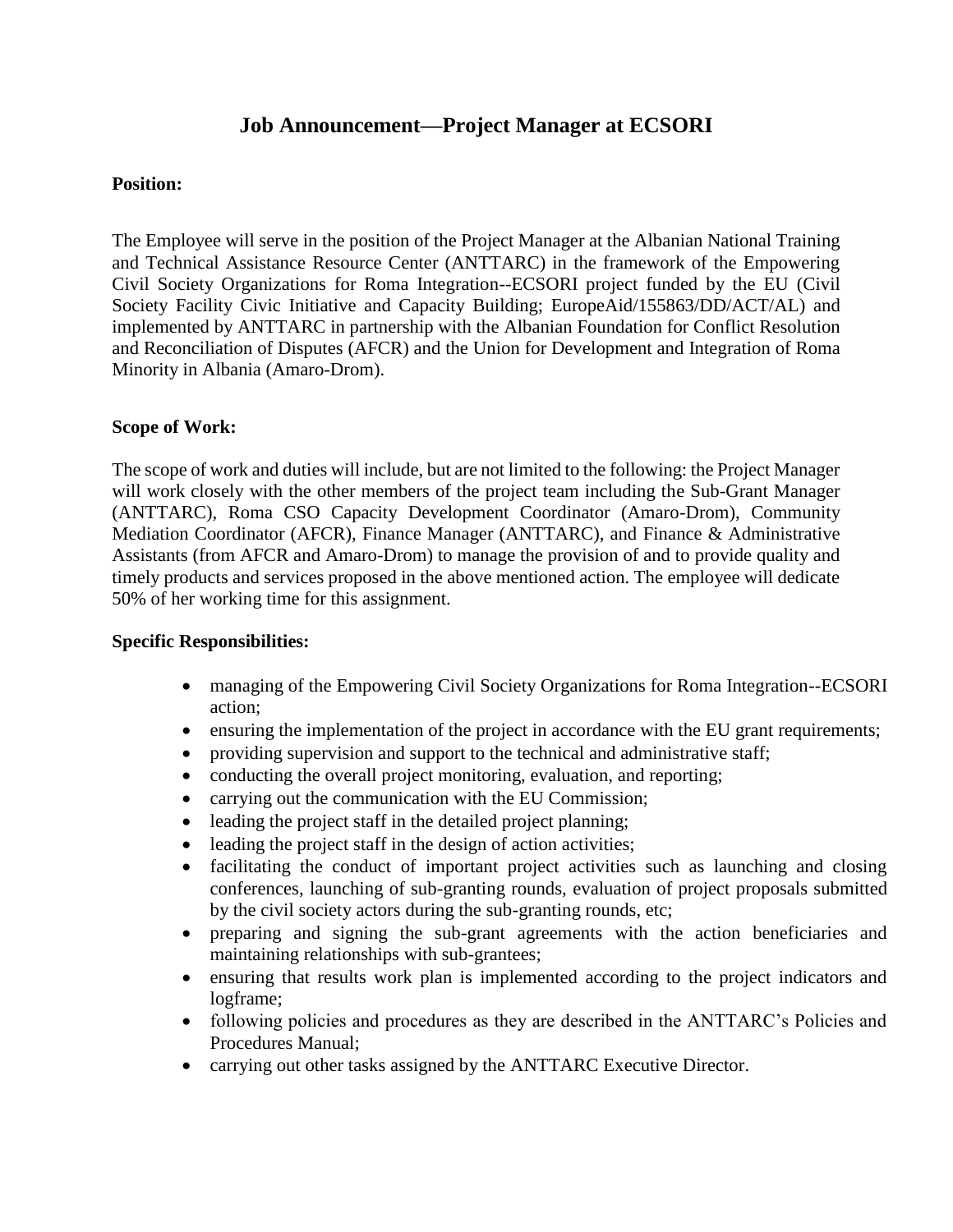# **Job Announcement—Project Manager at ECSORI**

### **Position:**

The Employee will serve in the position of the Project Manager at the Albanian National Training and Technical Assistance Resource Center (ANTTARC) in the framework of the Empowering Civil Society Organizations for Roma Integration--ECSORI project funded by the EU (Civil Society Facility Civic Initiative and Capacity Building; EuropeAid/155863/DD/ACT/AL) and implemented by ANTTARC in partnership with the Albanian Foundation for Conflict Resolution and Reconciliation of Disputes (AFCR) and the Union for Development and Integration of Roma Minority in Albania (Amaro-Drom).

### **Scope of Work:**

The scope of work and duties will include, but are not limited to the following: the Project Manager will work closely with the other members of the project team including the Sub-Grant Manager (ANTTARC), Roma CSO Capacity Development Coordinator (Amaro-Drom), Community Mediation Coordinator (AFCR), Finance Manager (ANTTARC), and Finance & Administrative Assistants (from AFCR and Amaro-Drom) to manage the provision of and to provide quality and timely products and services proposed in the above mentioned action. The employee will dedicate 50% of her working time for this assignment.

### **Specific Responsibilities:**

- managing of the Empowering Civil Society Organizations for Roma Integration--ECSORI action;
- ensuring the implementation of the project in accordance with the EU grant requirements;
- providing supervision and support to the technical and administrative staff;
- conducting the overall project monitoring, evaluation, and reporting;
- carrying out the communication with the EU Commission;
- leading the project staff in the detailed project planning;
- leading the project staff in the design of action activities;
- facilitating the conduct of important project activities such as launching and closing conferences, launching of sub-granting rounds, evaluation of project proposals submitted by the civil society actors during the sub-granting rounds, etc;
- preparing and signing the sub-grant agreements with the action beneficiaries and maintaining relationships with sub-grantees;
- ensuring that results work plan is implemented according to the project indicators and logframe;
- following policies and procedures as they are described in the ANTTARC's Policies and Procedures Manual;
- carrying out other tasks assigned by the ANTTARC Executive Director.